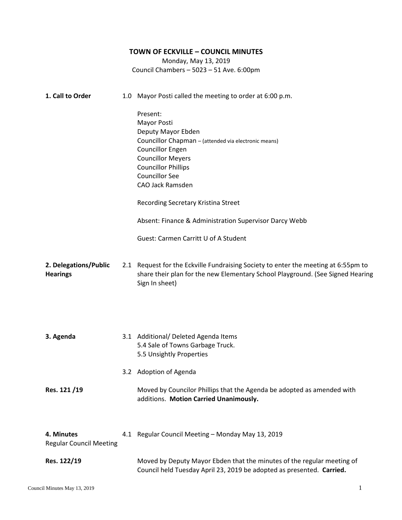## **TOWN OF ECKVILLE – COUNCIL MINUTES**

Monday, May 13, 2019 Council Chambers – 5023 – 51 Ave. 6:00pm

| 1. Call to Order                             | 1.0 Mayor Posti called the meeting to order at 6:00 p.m.                                                                                                                               |
|----------------------------------------------|----------------------------------------------------------------------------------------------------------------------------------------------------------------------------------------|
|                                              | Present:<br><b>Mayor Posti</b><br>Deputy Mayor Ebden<br>Councillor Chapman - (attended via electronic means)<br><b>Councillor Engen</b><br><b>Councillor Meyers</b>                    |
|                                              | <b>Councillor Phillips</b><br><b>Councillor See</b><br>CAO Jack Ramsden                                                                                                                |
|                                              | Recording Secretary Kristina Street                                                                                                                                                    |
|                                              | Absent: Finance & Administration Supervisor Darcy Webb                                                                                                                                 |
|                                              | Guest: Carmen Carritt U of A Student                                                                                                                                                   |
| 2. Delegations/Public<br><b>Hearings</b>     | 2.1 Request for the Eckville Fundraising Society to enter the meeting at 6:55pm to<br>share their plan for the new Elementary School Playground. (See Signed Hearing<br>Sign In sheet) |
| 3. Agenda                                    | 3.1 Additional/ Deleted Agenda Items<br>5.4 Sale of Towns Garbage Truck.<br>5.5 Unsightly Properties                                                                                   |
|                                              | 3.2 Adoption of Agenda                                                                                                                                                                 |
| Res. 121/19                                  | Moved by Councilor Phillips that the Agenda be adopted as amended with<br>additions. Motion Carried Unanimously.                                                                       |
| 4. Minutes<br><b>Regular Council Meeting</b> | 4.1 Regular Council Meeting - Monday May 13, 2019                                                                                                                                      |
| Res. 122/19                                  | Moved by Deputy Mayor Ebden that the minutes of the regular meeting of<br>Council held Tuesday April 23, 2019 be adopted as presented. Carried.                                        |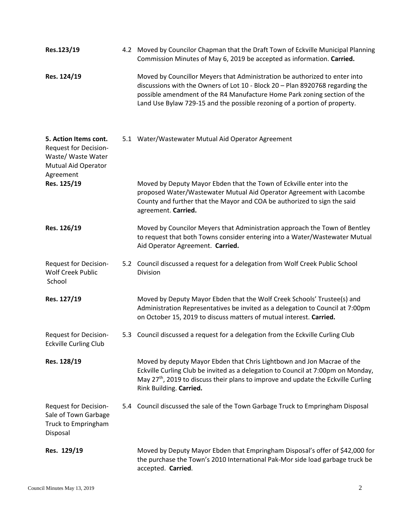| Res.123/19                                                                                                             | 4.2 Moved by Councilor Chapman that the Draft Town of Eckville Municipal Planning<br>Commission Minutes of May 6, 2019 be accepted as information. Carried.                                                                                                                                                          |
|------------------------------------------------------------------------------------------------------------------------|----------------------------------------------------------------------------------------------------------------------------------------------------------------------------------------------------------------------------------------------------------------------------------------------------------------------|
| Res. 124/19                                                                                                            | Moved by Councillor Meyers that Administration be authorized to enter into<br>discussions with the Owners of Lot 10 - Block 20 - Plan 8920768 regarding the<br>possible amendment of the R4 Manufacture Home Park zoning section of the<br>Land Use Bylaw 729-15 and the possible rezoning of a portion of property. |
| 5. Action Items cont.<br><b>Request for Decision-</b><br>Waste/ Waste Water<br><b>Mutual Aid Operator</b><br>Agreement | 5.1 Water/Wastewater Mutual Aid Operator Agreement                                                                                                                                                                                                                                                                   |
| Res. 125/19                                                                                                            | Moved by Deputy Mayor Ebden that the Town of Eckville enter into the<br>proposed Water/Wastewater Mutual Aid Operator Agreement with Lacombe<br>County and further that the Mayor and COA be authorized to sign the said<br>agreement. Carried.                                                                      |
| Res. 126/19                                                                                                            | Moved by Councilor Meyers that Administration approach the Town of Bentley<br>to request that both Towns consider entering into a Water/Wastewater Mutual<br>Aid Operator Agreement. Carried.                                                                                                                        |
| Request for Decision-<br><b>Wolf Creek Public</b><br>School                                                            | 5.2 Council discussed a request for a delegation from Wolf Creek Public School<br>Division                                                                                                                                                                                                                           |
| Res. 127/19                                                                                                            | Moved by Deputy Mayor Ebden that the Wolf Creek Schools' Trustee(s) and<br>Administration Representatives be invited as a delegation to Council at 7:00pm<br>on October 15, 2019 to discuss matters of mutual interest. Carried.                                                                                     |
| <b>Request for Decision-</b><br><b>Eckville Curling Club</b>                                                           | 5.3 Council discussed a request for a delegation from the Eckville Curling Club                                                                                                                                                                                                                                      |
| Res. 128/19                                                                                                            | Moved by deputy Mayor Ebden that Chris Lightbown and Jon Macrae of the<br>Eckville Curling Club be invited as a delegation to Council at 7:00pm on Monday,<br>May 27 <sup>th</sup> , 2019 to discuss their plans to improve and update the Eckville Curling<br>Rink Building. Carried.                               |
| <b>Request for Decision-</b><br>Sale of Town Garbage<br>Truck to Empringham<br>Disposal                                | 5.4 Council discussed the sale of the Town Garbage Truck to Empringham Disposal                                                                                                                                                                                                                                      |
| Res. 129/19                                                                                                            | Moved by Deputy Mayor Ebden that Empringham Disposal's offer of \$42,000 for<br>the purchase the Town's 2010 International Pak-Mor side load garbage truck be<br>accepted. Carried.                                                                                                                                  |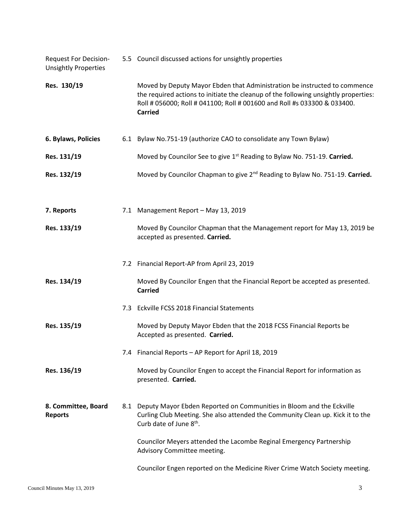| <b>Request For Decision-</b><br><b>Unsightly Properties</b> | 5.5 Council discussed actions for unsightly properties                                                                                                                                                                                                         |
|-------------------------------------------------------------|----------------------------------------------------------------------------------------------------------------------------------------------------------------------------------------------------------------------------------------------------------------|
| Res. 130/19                                                 | Moved by Deputy Mayor Ebden that Administration be instructed to commence<br>the required actions to initiate the cleanup of the following unsightly properties:<br>Roll # 056000; Roll # 041100; Roll # 001600 and Roll #s 033300 & 033400.<br><b>Carried</b> |
| 6. Bylaws, Policies                                         | 6.1 Bylaw No.751-19 (authorize CAO to consolidate any Town Bylaw)                                                                                                                                                                                              |
| Res. 131/19                                                 | Moved by Councilor See to give 1 <sup>st</sup> Reading to Bylaw No. 751-19. Carried.                                                                                                                                                                           |
| Res. 132/19                                                 | Moved by Councilor Chapman to give 2 <sup>nd</sup> Reading to Bylaw No. 751-19. Carried.                                                                                                                                                                       |
| 7. Reports                                                  | 7.1 Management Report - May 13, 2019                                                                                                                                                                                                                           |
| Res. 133/19                                                 | Moved By Councilor Chapman that the Management report for May 13, 2019 be<br>accepted as presented. Carried.                                                                                                                                                   |
|                                                             | 7.2 Financial Report-AP from April 23, 2019                                                                                                                                                                                                                    |
| Res. 134/19                                                 | Moved By Councilor Engen that the Financial Report be accepted as presented.<br><b>Carried</b>                                                                                                                                                                 |
|                                                             | 7.3 Eckville FCSS 2018 Financial Statements                                                                                                                                                                                                                    |
| Res. 135/19                                                 | Moved by Deputy Mayor Ebden that the 2018 FCSS Financial Reports be<br>Accepted as presented. Carried.                                                                                                                                                         |
|                                                             | 7.4 Financial Reports - AP Report for April 18, 2019                                                                                                                                                                                                           |
| Res. 136/19                                                 | Moved by Councilor Engen to accept the Financial Report for information as<br>presented. Carried.                                                                                                                                                              |
| 8. Committee, Board<br><b>Reports</b>                       | 8.1 Deputy Mayor Ebden Reported on Communities in Bloom and the Eckville<br>Curling Club Meeting. She also attended the Community Clean up. Kick it to the<br>Curb date of June 8 <sup>th</sup> .                                                              |
|                                                             | Councilor Meyers attended the Lacombe Reginal Emergency Partnership<br>Advisory Committee meeting.                                                                                                                                                             |
|                                                             | Councilor Engen reported on the Medicine River Crime Watch Society meeting.                                                                                                                                                                                    |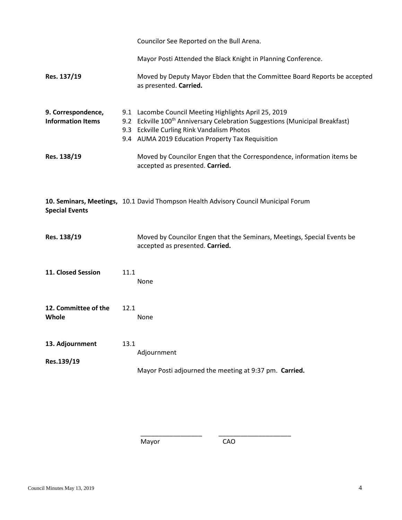|                                                |      | Councilor See Reported on the Bull Arena.                                                                                                                                                                                                           |
|------------------------------------------------|------|-----------------------------------------------------------------------------------------------------------------------------------------------------------------------------------------------------------------------------------------------------|
|                                                |      | Mayor Posti Attended the Black Knight in Planning Conference.                                                                                                                                                                                       |
| Res. 137/19                                    |      | Moved by Deputy Mayor Ebden that the Committee Board Reports be accepted<br>as presented. Carried.                                                                                                                                                  |
| 9. Correspondence,<br><b>Information Items</b> |      | 9.1 Lacombe Council Meeting Highlights April 25, 2019<br>9.2 Eckville 100 <sup>th</sup> Anniversary Celebration Suggestions (Municipal Breakfast)<br>9.3 Eckville Curling Rink Vandalism Photos<br>9.4 AUMA 2019 Education Property Tax Requisition |
| Res. 138/19                                    |      | Moved by Councilor Engen that the Correspondence, information items be<br>accepted as presented. Carried.                                                                                                                                           |
| <b>Special Events</b>                          |      | 10. Seminars, Meetings, 10.1 David Thompson Health Advisory Council Municipal Forum                                                                                                                                                                 |
| Res. 138/19                                    |      | Moved by Councilor Engen that the Seminars, Meetings, Special Events be<br>accepted as presented. Carried.                                                                                                                                          |
| 11. Closed Session                             | 11.1 | <b>None</b>                                                                                                                                                                                                                                         |
| 12. Committee of the<br>Whole                  | 12.1 | None                                                                                                                                                                                                                                                |
| 13. Adjournment<br>Res.139/19                  | 13.1 | Adjournment<br>Mayor Posti adjourned the meeting at 9:37 pm. Carried.                                                                                                                                                                               |

Mayor CAO

\_\_\_\_\_\_\_\_\_\_\_\_\_\_\_\_\_ \_\_\_\_\_\_\_\_\_\_\_\_\_\_\_\_\_\_\_\_